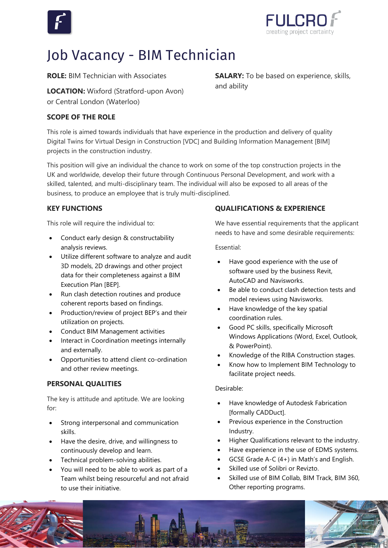



**SALARY:** To be based on experience, skills,

# Job Vacancy - BIM Technician

**ROLE:** BIM Technician with Associates

**LOCATION:** Wixford (Stratford-upon Avon) or Central London (Waterloo)

#### **SCOPE OF THE ROLE**

This role is aimed towards individuals that have experience in the production and delivery of quality Digital Twins for Virtual Design in Construction [VDC] and Building Information Management [BIM] projects in the construction industry.

This position will give an individual the chance to work on some of the top construction projects in the UK and worldwide, develop their future through Continuous Personal Development, and work with a skilled, talented, and multi-disciplinary team. The individual will also be exposed to all areas of the business, to produce an employee that is truly multi-disciplined.

#### **KEY FUNCTIONS**

This role will require the individual to:

- Conduct early design & constructability analysis reviews.
- Utilize different software to analyze and audit 3D models, 2D drawings and other project data for their completeness against a BIM Execution Plan [BEP].
- Run clash detection routines and produce coherent reports based on findings.
- Production/review of project BEP's and their utilization on projects.
- Conduct BIM Management activities
- Interact in Coordination meetings internally and externally.
- Opportunities to attend client co-ordination and other review meetings.

## **PERSONAL QUALITIES**

The key is attitude and aptitude. We are looking for:

- Strong interpersonal and communication skills.
- Have the desire, drive, and willingness to continuously develop and learn.
- Technical problem-solving abilities.
- You will need to be able to work as part of a Team whilst being resourceful and not afraid to use their initiative.

## **QUALIFICATIONS & EXPERIENCE**

We have essential requirements that the applicant needs to have and some desirable requirements:

Essential:

and ability

- Have good experience with the use of software used by the business Revit, AutoCAD and Navisworks.
- Be able to conduct clash detection tests and model reviews using Navisworks.
- Have knowledge of the key spatial coordination rules.
- Good PC skills, specifically Microsoft Windows Applications (Word, Excel, Outlook, & PowerPoint).
- Knowledge of the RIBA Construction stages.
- Know how to Implement BIM Technology to facilitate project needs.

#### Desirable:

- Have knowledge of Autodesk Fabrication [formally CADDuct].
- Previous experience in the Construction Industry.
- Higher Qualifications relevant to the industry.
- Have experience in the use of EDMS systems.
- GCSE Grade A-C (4+) in Math's and English.
- Skilled use of Solibri or Revizto.
- Skilled use of BIM Collab, BIM Track, BIM 360, Other reporting programs.